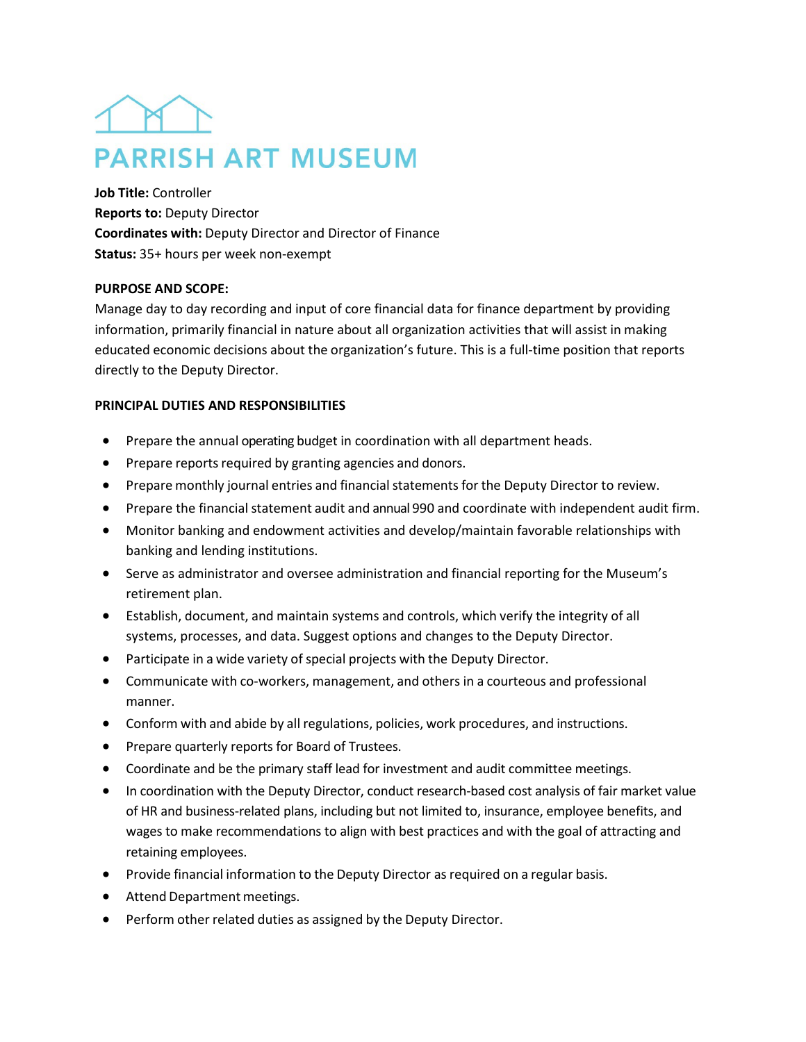# **PARRISH ART MUSEUM**

**Job Title:** Controller **Reports to:** Deputy Director **Coordinates with:** Deputy Director and Director of Finance **Status:** 35+ hours per week non-exempt

## **PURPOSE AND SCOPE:**

Manage day to day recording and input of core financial data for finance department by providing information, primarily financial in nature about all organization activities that will assist in making educated economic decisions about the organization's future. This is a full-time position that reports directly to the Deputy Director.

# **PRINCIPAL DUTIES AND RESPONSIBILITIES**

- Prepare the annual operating budget in coordination with all department heads.
- Prepare reports required by granting agencies and donors.
- Prepare monthly journal entries and financial statements for the Deputy Director to review.
- Prepare the financial statement audit and annual 990 and coordinate with independent audit firm.
- Monitor banking and endowment activities and develop/maintain favorable relationships with banking and lending institutions.
- Serve as administrator and oversee administration and financial reporting for the Museum's retirement plan.
- Establish, document, and maintain systems and controls, which verify the integrity of all systems, processes, and data. Suggest options and changes to the Deputy Director.
- Participate in a wide variety of special projects with the Deputy Director.
- Communicate with co-workers, management, and others in a courteous and professional manner.
- Conform with and abide by all regulations, policies, work procedures, and instructions.
- Prepare quarterly reports for Board of Trustees.
- Coordinate and be the primary staff lead for investment and audit committee meetings.
- In coordination with the Deputy Director, conduct research-based cost analysis of fair market value of HR and business-related plans, including but not limited to, insurance, employee benefits, and wages to make recommendations to align with best practices and with the goal of attracting and retaining employees.
- Provide financial information to the Deputy Director as required on a regular basis.
- Attend Department meetings.
- Perform other related duties as assigned by the Deputy Director.